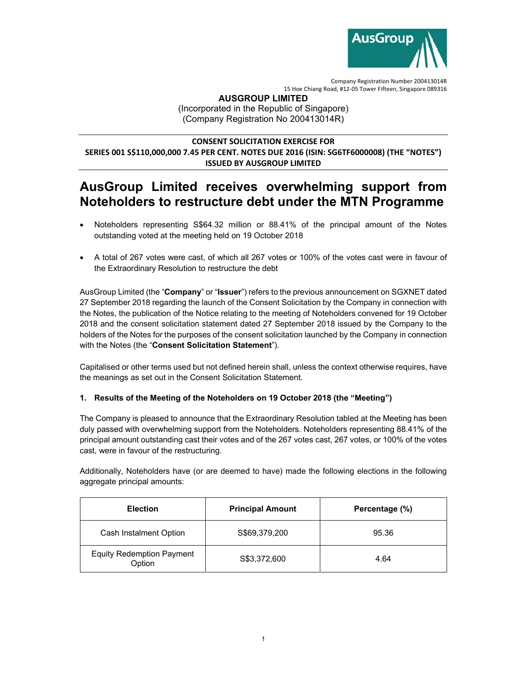

#### **AUSGROUP LIMITED**

(Incorporated in the Republic of Singapore) (Company Registration No 200413014R)

## **CONSENT SOLICITATION EXERCISE FOR SERIES 001 S\$110,000,000 7.45 PER CENT. NOTES DUE 2016 (ISIN: SG6TF6000008) (THE "NOTES") ISSUED BY AUSGROUP LIMITED**

# **AusGroup Limited receives overwhelming support from Noteholders to restructure debt under the MTN Programme**

- Noteholders representing S\$64.32 million or 88.41% of the principal amount of the Notes outstanding voted at the meeting held on 19 October 2018
- A total of 267 votes were cast, of which all 267 votes or 100% of the votes cast were in favour of the Extraordinary Resolution to restructure the debt

AusGroup Limited (the "**Company**" or "**Issuer**") refers to the previous announcement on SGXNET dated 27 September 2018 regarding the launch of the Consent Solicitation by the Company in connection with the Notes, the publication of the Notice relating to the meeting of Noteholders convened for 19 October 2018 and the consent solicitation statement dated 27 September 2018 issued by the Company to the holders of the Notes for the purposes of the consent solicitation launched by the Company in connection with the Notes (the "**Consent Solicitation Statement**").

Capitalised or other terms used but not defined herein shall, unless the context otherwise requires, have the meanings as set out in the Consent Solicitation Statement.

### **1. Results of the Meeting of the Noteholders on 19 October 2018 (the "Meeting")**

The Company is pleased to announce that the Extraordinary Resolution tabled at the Meeting has been duly passed with overwhelming support from the Noteholders. Noteholders representing 88.41% of the principal amount outstanding cast their votes and of the 267 votes cast, 267 votes, or 100% of the votes cast, were in favour of the restructuring.

Additionally, Noteholders have (or are deemed to have) made the following elections in the following aggregate principal amounts:

| <b>Election</b>                            | <b>Principal Amount</b> | Percentage (%) |
|--------------------------------------------|-------------------------|----------------|
| Cash Instalment Option                     | S\$69,379,200           | 95.36          |
| <b>Equity Redemption Payment</b><br>Option | S\$3,372,600            | 4.64           |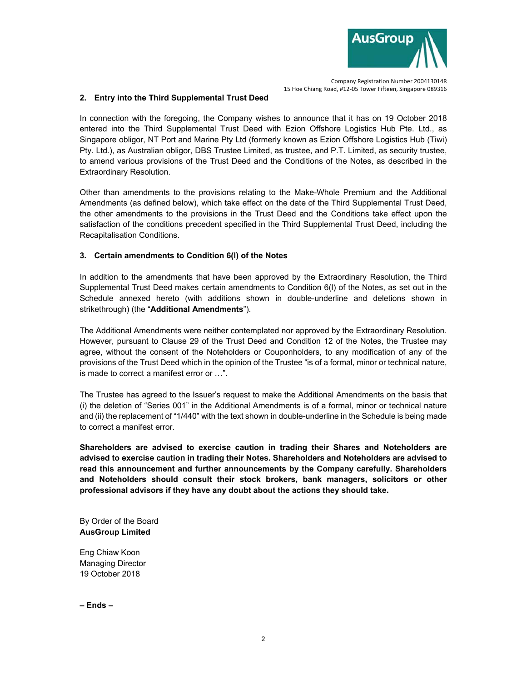

#### **2. Entry into the Third Supplemental Trust Deed**

In connection with the foregoing, the Company wishes to announce that it has on 19 October 2018 entered into the Third Supplemental Trust Deed with Ezion Offshore Logistics Hub Pte. Ltd., as Singapore obligor, NT Port and Marine Pty Ltd (formerly known as Ezion Offshore Logistics Hub (Tiwi) Pty. Ltd.), as Australian obligor, DBS Trustee Limited, as trustee, and P.T. Limited, as security trustee, to amend various provisions of the Trust Deed and the Conditions of the Notes, as described in the Extraordinary Resolution.

Other than amendments to the provisions relating to the Make-Whole Premium and the Additional Amendments (as defined below), which take effect on the date of the Third Supplemental Trust Deed, the other amendments to the provisions in the Trust Deed and the Conditions take effect upon the satisfaction of the conditions precedent specified in the Third Supplemental Trust Deed, including the Recapitalisation Conditions.

#### **3. Certain amendments to Condition 6(l) of the Notes**

In addition to the amendments that have been approved by the Extraordinary Resolution, the Third Supplemental Trust Deed makes certain amendments to Condition 6(l) of the Notes, as set out in the Schedule annexed hereto (with additions shown in double-underline and deletions shown in strikethrough) (the "**Additional Amendments**").

The Additional Amendments were neither contemplated nor approved by the Extraordinary Resolution. However, pursuant to Clause 29 of the Trust Deed and Condition 12 of the Notes, the Trustee may agree, without the consent of the Noteholders or Couponholders, to any modification of any of the provisions of the Trust Deed which in the opinion of the Trustee "is of a formal, minor or technical nature, is made to correct a manifest error or …".

The Trustee has agreed to the Issuer's request to make the Additional Amendments on the basis that (i) the deletion of "Series 001" in the Additional Amendments is of a formal, minor or technical nature and (ii) the replacement of "1/440" with the text shown in double-underline in the Schedule is being made to correct a manifest error.

**Shareholders are advised to exercise caution in trading their Shares and Noteholders are advised to exercise caution in trading their Notes. Shareholders and Noteholders are advised to read this announcement and further announcements by the Company carefully. Shareholders and Noteholders should consult their stock brokers, bank managers, solicitors or other professional advisors if they have any doubt about the actions they should take.** 

By Order of the Board **AusGroup Limited** 

Eng Chiaw Koon Managing Director 19 October 2018

**– Ends –**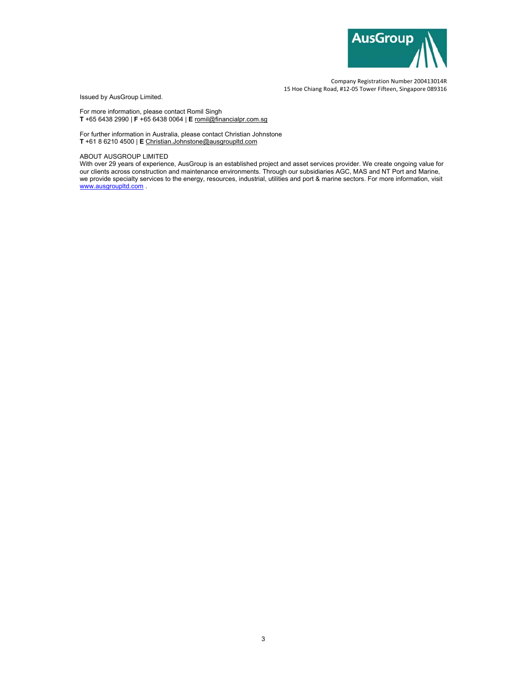

Issued by AusGroup Limited.

For more information, please contact Romil Singh **T** +65 6438 2990 | **F** +65 6438 0064 | **E** romil@financialpr.com.sg

For further information in Australia, please contact Christian Johnstone **T** +61 8 6210 4500 | **E** Christian.Johnstone@ausgroupltd.com

#### ABOUT AUSGROUP LIMITED

With over 29 years of experience, AusGroup is an established project and asset services provider. We create ongoing value for our clients across construction and maintenance environments. Through our subsidiaries AGC, MAS and NT Port and Marine, we provide specialty services to the energy, resources, industrial, utilities and port & marine sectors. For more information, visit www.ausgroupltd.com .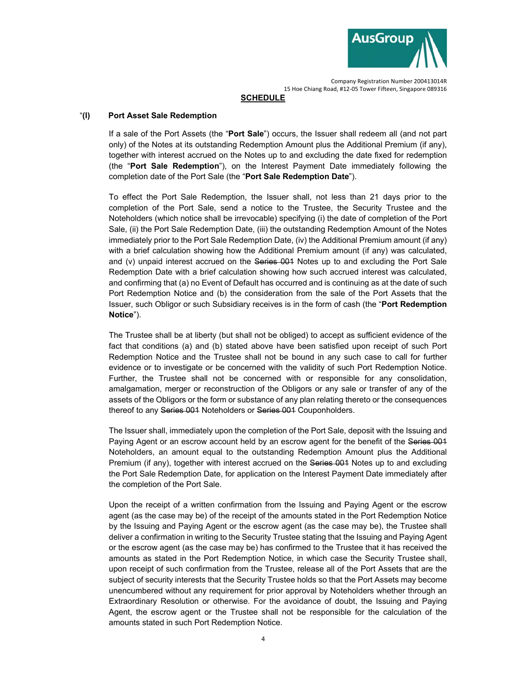

#### **SCHEDULE**

#### "**(l) Port Asset Sale Redemption**

If a sale of the Port Assets (the "**Port Sale**") occurs, the Issuer shall redeem all (and not part only) of the Notes at its outstanding Redemption Amount plus the Additional Premium (if any), together with interest accrued on the Notes up to and excluding the date fixed for redemption (the "**Port Sale Redemption**"), on the Interest Payment Date immediately following the completion date of the Port Sale (the "**Port Sale Redemption Date**").

To effect the Port Sale Redemption, the Issuer shall, not less than 21 days prior to the completion of the Port Sale, send a notice to the Trustee, the Security Trustee and the Noteholders (which notice shall be irrevocable) specifying (i) the date of completion of the Port Sale, (ii) the Port Sale Redemption Date, (iii) the outstanding Redemption Amount of the Notes immediately prior to the Port Sale Redemption Date, (iv) the Additional Premium amount (if any) with a brief calculation showing how the Additional Premium amount (if any) was calculated, and (v) unpaid interest accrued on the Series 001 Notes up to and excluding the Port Sale Redemption Date with a brief calculation showing how such accrued interest was calculated, and confirming that (a) no Event of Default has occurred and is continuing as at the date of such Port Redemption Notice and (b) the consideration from the sale of the Port Assets that the Issuer, such Obligor or such Subsidiary receives is in the form of cash (the "**Port Redemption Notice**").

The Trustee shall be at liberty (but shall not be obliged) to accept as sufficient evidence of the fact that conditions (a) and (b) stated above have been satisfied upon receipt of such Port Redemption Notice and the Trustee shall not be bound in any such case to call for further evidence or to investigate or be concerned with the validity of such Port Redemption Notice. Further, the Trustee shall not be concerned with or responsible for any consolidation, amalgamation, merger or reconstruction of the Obligors or any sale or transfer of any of the assets of the Obligors or the form or substance of any plan relating thereto or the consequences thereof to any Series 001 Noteholders or Series 001 Couponholders.

The Issuer shall, immediately upon the completion of the Port Sale, deposit with the Issuing and Paying Agent or an escrow account held by an escrow agent for the benefit of the Series 001 Noteholders, an amount equal to the outstanding Redemption Amount plus the Additional Premium (if any), together with interest accrued on the Series 001 Notes up to and excluding the Port Sale Redemption Date, for application on the Interest Payment Date immediately after the completion of the Port Sale.

Upon the receipt of a written confirmation from the Issuing and Paying Agent or the escrow agent (as the case may be) of the receipt of the amounts stated in the Port Redemption Notice by the Issuing and Paying Agent or the escrow agent (as the case may be), the Trustee shall deliver a confirmation in writing to the Security Trustee stating that the Issuing and Paying Agent or the escrow agent (as the case may be) has confirmed to the Trustee that it has received the amounts as stated in the Port Redemption Notice, in which case the Security Trustee shall, upon receipt of such confirmation from the Trustee, release all of the Port Assets that are the subject of security interests that the Security Trustee holds so that the Port Assets may become unencumbered without any requirement for prior approval by Noteholders whether through an Extraordinary Resolution or otherwise. For the avoidance of doubt, the Issuing and Paying Agent, the escrow agent or the Trustee shall not be responsible for the calculation of the amounts stated in such Port Redemption Notice.